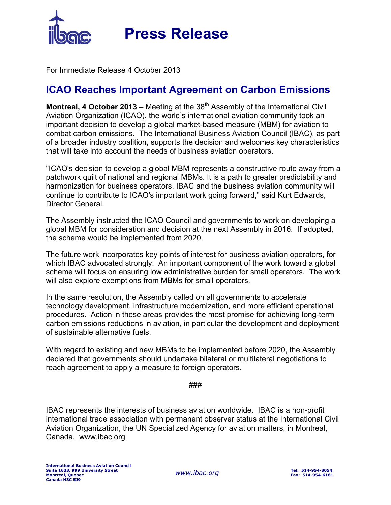

 **Press Release**

For Immediate Release 4 October 2013

## **ICAO Reaches Important Agreement on Carbon Emissions**

**Montreal, 4 October 2013** – Meeting at the 38<sup>th</sup> Assembly of the International Civil Aviation Organization (ICAO), the world's international aviation community took an important decision to develop a global market-based measure (MBM) for aviation to combat carbon emissions. The International Business Aviation Council (IBAC), as part of a broader industry coalition, supports the decision and welcomes key characteristics that will take into account the needs of business aviation operators.

"ICAO's decision to develop a global MBM represents a constructive route away from a patchwork quilt of national and regional MBMs. It is a path to greater predictability and harmonization for business operators. IBAC and the business aviation community will continue to contribute to ICAO's important work going forward," said Kurt Edwards, Director General.

The Assembly instructed the ICAO Council and governments to work on developing a global MBM for consideration and decision at the next Assembly in 2016. If adopted, the scheme would be implemented from 2020.

The future work incorporates key points of interest for business aviation operators, for which IBAC advocated strongly. An important component of the work toward a global scheme will focus on ensuring low administrative burden for small operators. The work will also explore exemptions from MBMs for small operators.

In the same resolution, the Assembly called on all governments to accelerate technology development, infrastructure modernization, and more efficient operational procedures. Action in these areas provides the most promise for achieving long-term carbon emissions reductions in aviation, in particular the development and deployment of sustainable alternative fuels.

With regard to existing and new MBMs to be implemented before 2020, the Assembly declared that governments should undertake bilateral or multilateral negotiations to reach agreement to apply a measure to foreign operators.

###

IBAC represents the interests of business aviation worldwide. IBAC is a non-profit international trade association with permanent observer status at the International Civil Aviation Organization, the UN Specialized Agency for aviation matters, in Montreal, Canada. www.ibac.org